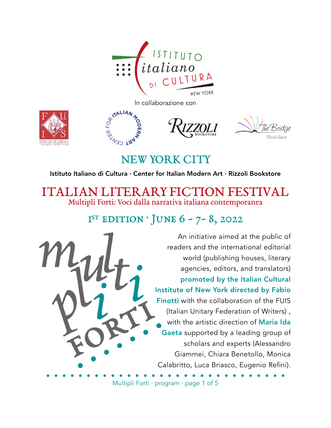

In collaborazione con

TALIAN

ODER

ER FOR







NEW YORK CITY

Istituto Italiano di Cultura · Center for Italian Modern Art · Rizzoli Bookstore

ITALIAN LITERARY FICTION FESTIVAL Multipli Forti: Voci dalla narrativa italiana contemporanea

## I<sup>ST</sup> EDITION  $\cdot$  JUNE 6 - 7-8, 2022



An initiative aimed at the public of readers and the international editorial world (publishing houses, literary agencies, editors, and translators) promoted by the Italian Cultural Institute of New York directed by Fabio Finotti with the collaboration of the FUIS (Italian Unitary Federation of Writers) , with the artistic direction of Maria Ida Gaeta supported by a leading group of scholars and experts (Alessandro Giammei, Chiara Benetollo, Monica Calabritto, Luca Briasco, Eugenio Refini).

Multipli Forti · program · page 1 of 5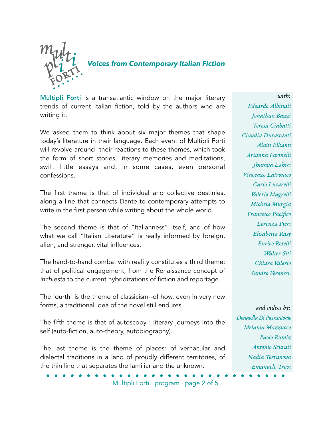

#### *Voices from Contemporary Italian Fiction*

Multipli Forti is a transatlantic window on the major literary trends of current Italian fiction, told by the authors who are writing it.

We asked them to think about six major themes that shape today's literature in their language. Each event of Multipli Forti will revolve around their reactions to these themes, which took the form of short stories, literary memories and meditations, swift little essays and, in some cases, even personal confessions.

The first theme is that of individual and collective destinies, along a line that connects Dante to contemporary attempts to write in the first person while writing about the whole world.

The second theme is that of "Italianness" itself, and of how what we call "Italian Literature" is really informed by foreign, alien, and stranger, vital influences.

The hand-to-hand combat with reality constitutes a third theme: that of political engagement, from the Renaissance concept of *inchiesta* to the current hybridizations of fiction and reportage.

The fourth is the theme of classicism--of how, even in very new forms, a traditional idea of the novel still endures.

The fifth theme is that of autoscopy : literary journeys into the self (auto-fiction, auto-theory, autobiography).

The last theme is the theme of places: of vernacular and dialectal traditions in a land of proudly different territories, of the thin line that separates the familiar and the unknown.

*with: Edoardo Albinati Jonathan Bazzi Teresa Ciabatti Claudia Durastanti Alain Elkann Arianna Farinelli Jhumpa Lahiri Vincenzo Latronico Carlo Lucarelli Valerio Magrelli Michela Murgia Francesco Pacifico Lorenza Pieri Elisabetta Rasy Enrico Rotelli Walter Siti Chiara Valerio Sandro Veronesi.*

*and videos by: Donatella Di Pietrantonio Melania Mazzucco Paolo Rumiz Antonio Scurati Nadia Terranova Emanuele Trevi* 

Multipli Forti · program · page 2 of 5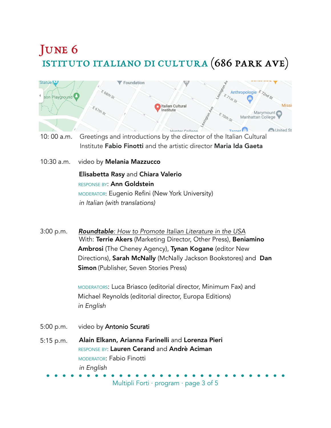# istituto italiano di cultura (686 park ave) JUNE<sub>6</sub>



- 10: 00 a.m. Greetings and introductions by the director of the Italian Cultural Institute Fabio Finotti and the artistic director Maria Ida Gaeta
- 10:30 a.m. video by **Melania Mazzucco**

Elisabetta Rasy and Chiara Valerio RESPONSE BY: Ann Goldstein MODERATOR: Eugenio Refini (New York University) *in Italian (with translations)*

3:00 p.m. *Roundtable: How to Promote Italian Literature in the USA* With: Terrie Akers (Marketing Director, Other Press), Beniamino **Ambrosi** (The Cheney Agency), **Tynan Kogane** (editor New Directions), Sarah McNally (McNally Jackson Bookstores) and Dan **Simon** (Publisher, Seven Stories Press)

> MODERATORS: Luca Briasco (editorial director, Minimum Fax) and Michael Reynolds (editorial director, Europa Editions) in English

- 5:00 p.m. video by Antonio Scurati
- 5:15 p.m. Alain Elkann, Arianna Farinelli and Lorenza Pieri RESPONSE BY: Lauren Cerand and Andrè Aciman MODERATOR: Fabio Finotti *in English*

Multipli Forti · program · page 3 of 5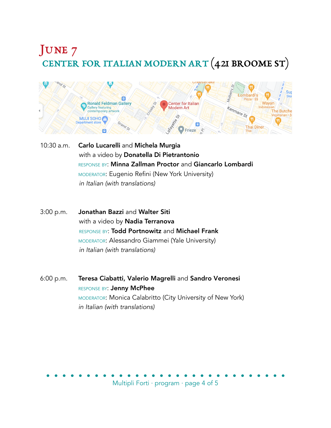## center for italian modern art (421 broome st) JUNE 7



- 10:30 a.m. Carlo Lucarelli and Michela Murgia with a video by Donatella Di Pietrantonio RESPONSE BY: Minna Zallman Proctor and Giancarlo Lombardi MODERATOR: Eugenio Refini (New York University) *in Italian (with translations)*
- 3:00 p.m. Jonathan Bazzi and Walter Siti with a video by **Nadia Terranova** RESPONSE BY: Todd Portnowitz and Michael Frank MODERATOR: Alessandro Giammei (Yale University) *in Italian (with translations)*
- 6:00 p.m. Teresa Ciabatti, Valerio Magrelli and Sandro Veronesi RESPONSE BY: Jenny McPhee MODERATOR: Monica Calabritto (City University of New York) *in Italian (with translations)*